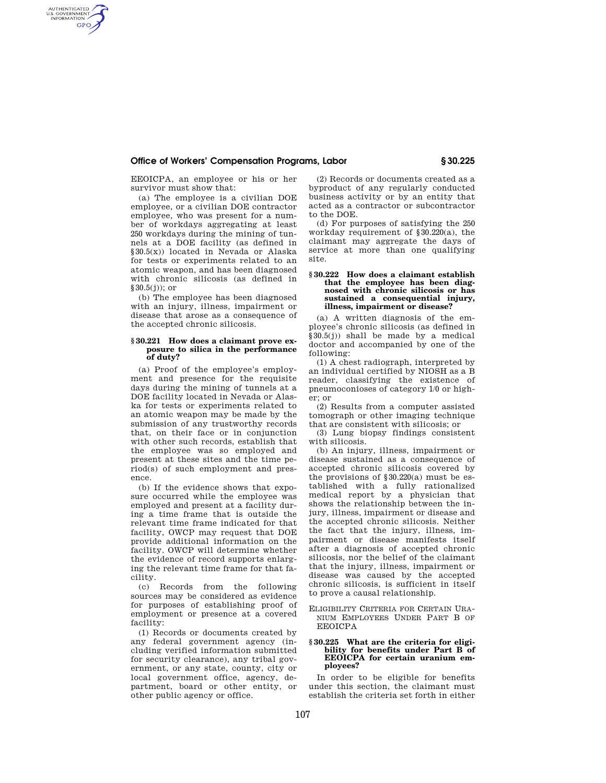# **Office of Workers' Compensation Programs, Labor § 30.225**

EEOICPA, an employee or his or her survivor must show that:

AUTHENTICATED<br>U.S. GOVERNMENT<br>INFORMATION **GPO** 

> (a) The employee is a civilian DOE employee, or a civilian DOE contractor employee, who was present for a number of workdays aggregating at least 250 workdays during the mining of tunnels at a DOE facility (as defined in §30.5(x)) located in Nevada or Alaska for tests or experiments related to an atomic weapon, and has been diagnosed with chronic silicosis (as defined in §30.5(j)); or

> (b) The employee has been diagnosed with an injury, illness, impairment or disease that arose as a consequence of the accepted chronic silicosis.

## **§ 30.221 How does a claimant prove exposure to silica in the performance of duty?**

(a) Proof of the employee's employment and presence for the requisite days during the mining of tunnels at a DOE facility located in Nevada or Alaska for tests or experiments related to an atomic weapon may be made by the submission of any trustworthy records that, on their face or in conjunction with other such records, establish that the employee was so employed and present at these sites and the time period(s) of such employment and presence.

(b) If the evidence shows that exposure occurred while the employee was employed and present at a facility during a time frame that is outside the relevant time frame indicated for that facility, OWCP may request that DOE provide additional information on the facility. OWCP will determine whether the evidence of record supports enlarging the relevant time frame for that facility.

(c) Records from the following sources may be considered as evidence for purposes of establishing proof of employment or presence at a covered facility:

(1) Records or documents created by any federal government agency (including verified information submitted for security clearance), any tribal government, or any state, county, city or local government office, agency, department, board or other entity, or other public agency or office.

(2) Records or documents created as a byproduct of any regularly conducted business activity or by an entity that acted as a contractor or subcontractor to the DOE.

(d) For purposes of satisfying the 250 workday requirement of §30.220(a), the claimant may aggregate the days of service at more than one qualifying site.

## **§ 30.222 How does a claimant establish that the employee has been diagnosed with chronic silicosis or has sustained a consequential injury, illness, impairment or disease?**

(a) A written diagnosis of the employee's chronic silicosis (as defined in §30.5(j)) shall be made by a medical doctor and accompanied by one of the following:

(1) A chest radiograph, interpreted by an individual certified by NIOSH as a B reader, classifying the existence of pneumoconioses of category 1/0 or higher; or

(2) Results from a computer assisted tomograph or other imaging technique that are consistent with silicosis; or

(3) Lung biopsy findings consistent with silicosis.

(b) An injury, illness, impairment or disease sustained as a consequence of accepted chronic silicosis covered by the provisions of  $§ 30.220(a)$  must be established with a fully rationalized medical report by a physician that shows the relationship between the injury, illness, impairment or disease and the accepted chronic silicosis. Neither the fact that the injury, illness, impairment or disease manifests itself after a diagnosis of accepted chronic silicosis, nor the belief of the claimant that the injury, illness, impairment or disease was caused by the accepted chronic silicosis, is sufficient in itself to prove a causal relationship.

ELIGIBILITY CRITERIA FOR CERTAIN URA-NIUM EMPLOYEES UNDER PART B OF EEOICPA

# **§ 30.225 What are the criteria for eligibility for benefits under Part B of EEOICPA for certain uranium employees?**

In order to be eligible for benefits under this section, the claimant must establish the criteria set forth in either